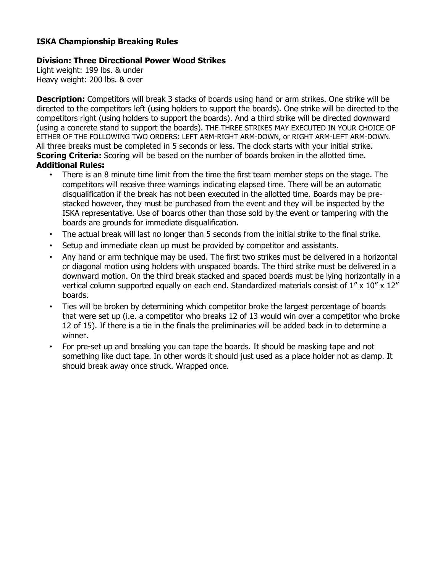## **ISKA Championship Breaking Rules**

## **Division: Three Directional Power Wood Strikes**

Light weight: 199 lbs. & under Heavy weight: 200 lbs. & over

**Description:** Competitors will break 3 stacks of boards using hand or arm strikes. One strike will be directed to the competitors left (using holders to support the boards). One strike will be directed to the competitors right (using holders to support the boards). And a third strike will be directed downward (using a concrete stand to support the boards). THE THREE STRIKES MAY EXECUTED IN YOUR CHOICE OF EITHER OF THE FOLLOWING TWO ORDERS: LEFT ARM-RIGHT ARM-DOWN, or RIGHT ARM-LEFT ARM-DOWN. All three breaks must be completed in 5 seconds or less. The clock starts with your initial strike. **Scoring Criteria:** Scoring will be based on the number of boards broken in the allotted time. **Additional Rules:** 

- There is an 8 minute time limit from the time the first team member steps on the stage. The competitors will receive three warnings indicating elapsed time. There will be an automatic disqualification if the break has not been executed in the allotted time. Boards may be prestacked however, they must be purchased from the event and they will be inspected by the ISKA representative. Use of boards other than those sold by the event or tampering with the boards are grounds for immediate disqualification.
- The actual break will last no longer than 5 seconds from the initial strike to the final strike.
- Setup and immediate clean up must be provided by competitor and assistants.
- Any hand or arm technique may be used. The first two strikes must be delivered in a horizontal or diagonal motion using holders with unspaced boards. The third strike must be delivered in a downward motion. On the third break stacked and spaced boards must be lying horizontally in a vertical column supported equally on each end. Standardized materials consist of 1" x 10" x 12" boards.
- Ties will be broken by determining which competitor broke the largest percentage of boards that were set up (i.e. a competitor who breaks 12 of 13 would win over a competitor who broke 12 of 15). If there is a tie in the finals the preliminaries will be added back in to determine a winner.
- For pre-set up and breaking you can tape the boards. It should be masking tape and not something like duct tape. In other words it should just used as a place holder not as clamp. It should break away once struck. Wrapped once.